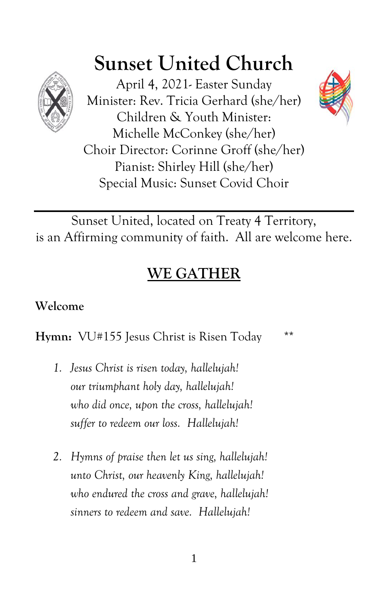

# **Sunset United Church**

April 4, 2021- Easter Sunday Minister: Rev. Tricia Gerhard (she/her) Children & Youth Minister: Michelle McConkey (she/her) Choir Director: Corinne Groff (she/her) Pianist: Shirley Hill (she/her) Special Music: Sunset Covid Choir



# **WE GATHER**

# **Welcome**

**Hymn:** VU#155 Jesus Christ is Risen Today \*\*

- *1. Jesus Christ is risen today, hallelujah! our triumphant holy day, hallelujah! who did once, upon the cross, hallelujah! suffer to redeem our loss. Hallelujah!*
- *2. Hymns of praise then let us sing, hallelujah! unto Christ, our heavenly King, hallelujah! who endured the cross and grave, hallelujah! sinners to redeem and save. Hallelujah!*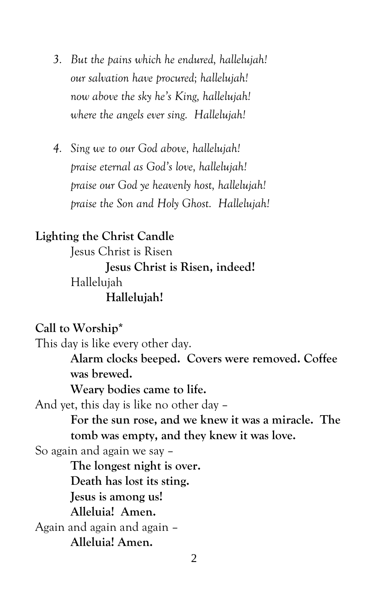- *3. But the pains which he endured, hallelujah! our salvation have procured; hallelujah! now above the sky he's King, hallelujah! where the angels ever sing. Hallelujah!*
- *4. Sing we to our God above, hallelujah! praise eternal as God's love, hallelujah! praise our God ye heavenly host, hallelujah! praise the Son and Holy Ghost. Hallelujah!*

# **Lighting the Christ Candle**

Jesus Christ is Risen **Jesus Christ is Risen, indeed!** Hallelujah **Hallelujah!**

**Call to Worship\***

This day is like every other day. **Alarm clocks beeped. Covers were removed. Coffee was brewed. Weary bodies came to life.** And yet, this day is like no other day – **For the sun rose, and we knew it was a miracle. The tomb was empty, and they knew it was love.** So again and again we say – **The longest night is over. Death has lost its sting. Jesus is among us! Alleluia! Amen.** Again and again and again – **Alleluia! Amen.**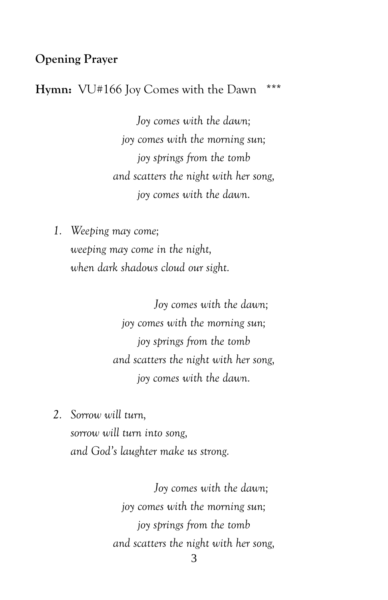### **Opening Prayer**

#### **Hymn:** VU#166 Joy Comes with the Dawn \*\*\*

*Joy comes with the dawn; joy comes with the morning sun; joy springs from the tomb and scatters the night with her song, joy comes with the dawn.*

*1. Weeping may come;*

*weeping may come in the night, when dark shadows cloud our sight.*

> *Joy comes with the dawn; joy comes with the morning sun; joy springs from the tomb and scatters the night with her song, joy comes with the dawn.*

*2. Sorrow will turn, sorrow will turn into song, and God's laughter make us strong.*

> *Joy comes with the dawn; joy comes with the morning sun; joy springs from the tomb and scatters the night with her song,*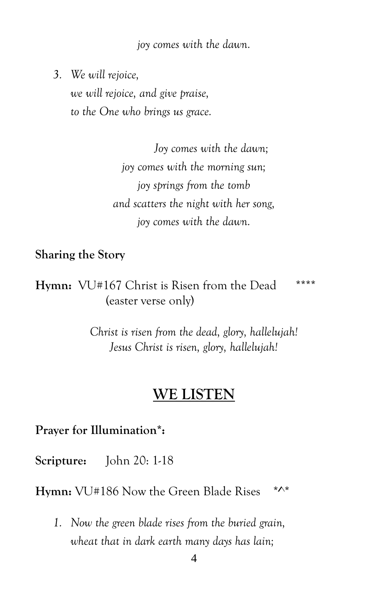*joy comes with the dawn.*

*3. We will rejoice,*

*we will rejoice, and give praise, to the One who brings us grace.*

> *Joy comes with the dawn; joy comes with the morning sun; joy springs from the tomb and scatters the night with her song, joy comes with the dawn.*

**Sharing the Story**

**Hymn:** VU#167 Christ is Risen from the Dead \*\*\*\* (easter verse only)

> *Christ is risen from the dead, glory, hallelujah! Jesus Christ is risen, glory, hallelujah!*

# **WE LISTEN**

**Prayer for Illumination\*:**

**Scripture:** John 20: 1-18

Hymn: VU#186 Now the Green Blade Rises \*^\*

*1. Now the green blade rises from the buried grain, wheat that in dark earth many days has lain;*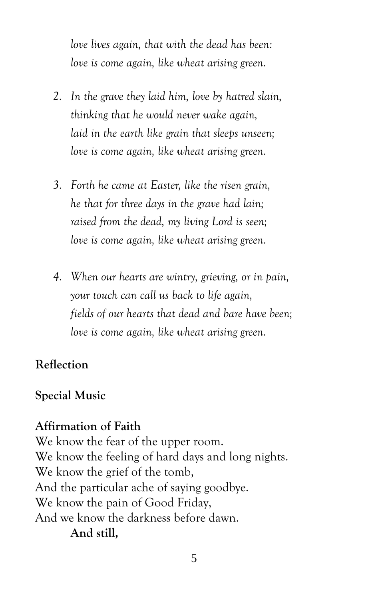*love lives again, that with the dead has been: love is come again, like wheat arising green.*

- *2. In the grave they laid him, love by hatred slain, thinking that he would never wake again, laid in the earth like grain that sleeps unseen; love is come again, like wheat arising green.*
- *3. Forth he came at Easter, like the risen grain, he that for three days in the grave had lain; raised from the dead, my living Lord is seen; love is come again, like wheat arising green.*
- *4. When our hearts are wintry, grieving, or in pain, your touch can call us back to life again, fields of our hearts that dead and bare have been; love is come again, like wheat arising green.*

# **Reflection**

#### **Special Music**

## **Affirmation of Faith**

We know the fear of the upper room. We know the feeling of hard days and long nights. We know the grief of the tomb, And the particular ache of saying goodbye. We know the pain of Good Friday, And we know the darkness before dawn. **And still,**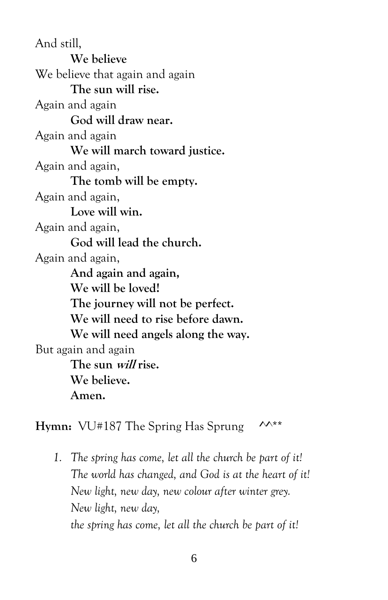And still, **We believe** We believe that again and again **The sun will rise.** Again and again **God will draw near.** Again and again **We will march toward justice.** Again and again, **The tomb will be empty.** Again and again, **Love will win.** Again and again, **God will lead the church.** Again and again, **And again and again, We will be loved! The journey will not be perfect. We will need to rise before dawn. We will need angels along the way.** But again and again **The sun will rise. We believe. Amen.**

**Hymn:** VU#187 The Spring Has Sprung  $\mathcal{M}^{**}$ 

*1. The spring has come, let all the church be part of it! The world has changed, and God is at the heart of it! New light, new day, new colour after winter grey. New light, new day, the spring has come, let all the church be part of it!*